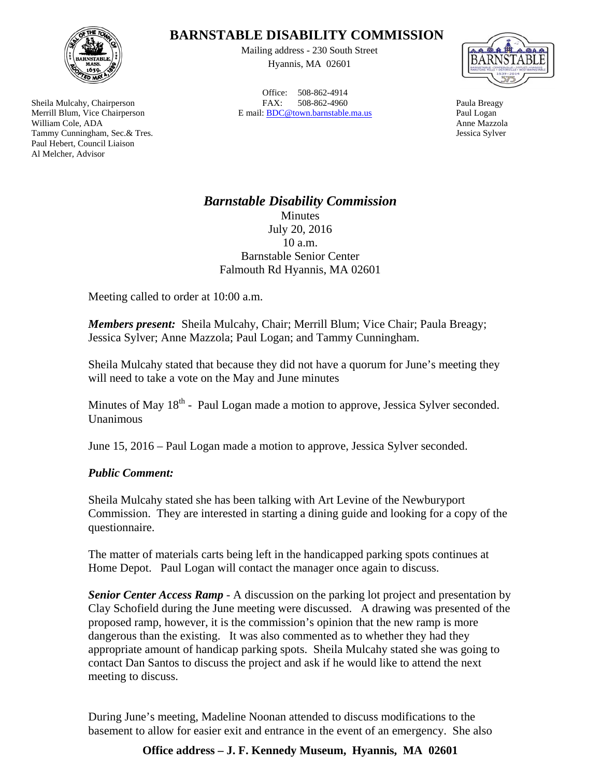

Sheila Mulcahy, Chairperson Merrill Blum, Vice Chairperson William Cole, ADA Tammy Cunningham, Sec.& Tres. Paul Hebert, Council Liaison Al Melcher, Advisor

## **BARNSTABLE DISABILITY COMMISSION**

Mailing address - 230 South Street Hyannis, MA 02601

Office: 508-862-4914 FAX: 508-862-4960 E mail: BDC@town.barnstable.ma.us



Paula Breagy Paul Logan Anne Mazzola Jessica Sylver

## *Barnstable Disability Commission*  Minutes July 20, 2016 10 a.m. Barnstable Senior Center Falmouth Rd Hyannis, MA 02601

Meeting called to order at 10:00 a.m.

*Members present:* Sheila Mulcahy, Chair; Merrill Blum; Vice Chair; Paula Breagy; Jessica Sylver; Anne Mazzola; Paul Logan; and Tammy Cunningham.

Sheila Mulcahy stated that because they did not have a quorum for June's meeting they will need to take a vote on the May and June minutes

Minutes of May  $18<sup>th</sup>$  - Paul Logan made a motion to approve, Jessica Sylver seconded. Unanimous

June 15, 2016 – Paul Logan made a motion to approve, Jessica Sylver seconded.

## *Public Comment:*

Sheila Mulcahy stated she has been talking with Art Levine of the Newburyport Commission. They are interested in starting a dining guide and looking for a copy of the questionnaire.

The matter of materials carts being left in the handicapped parking spots continues at Home Depot. Paul Logan will contact the manager once again to discuss.

*Senior Center Access Ramp* - A discussion on the parking lot project and presentation by Clay Schofield during the June meeting were discussed. A drawing was presented of the proposed ramp, however, it is the commission's opinion that the new ramp is more dangerous than the existing. It was also commented as to whether they had they appropriate amount of handicap parking spots. Sheila Mulcahy stated she was going to contact Dan Santos to discuss the project and ask if he would like to attend the next meeting to discuss.

During June's meeting, Madeline Noonan attended to discuss modifications to the basement to allow for easier exit and entrance in the event of an emergency. She also